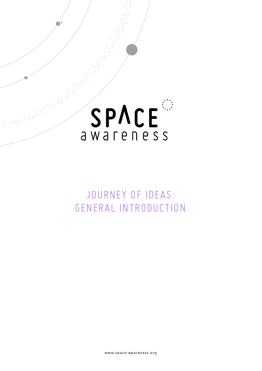

## *JOURNEY OF IDEAS: GENERAL INTRODUCTION*

www.space-awareness.org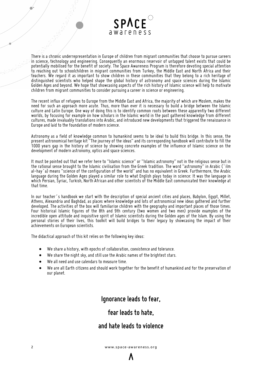

There is a chronic underrepresentation in Europe of children from migrant communities that choose to pursue careers in science, technology and engineering. Consequently an enormous reservoir of untapped talent exists that could be potentially mobilised for the benefit of society. The Space Awareness Program is therefore devoting special attention to reaching out to schoolchildren in migrant communities from Turkey, the Middle East and North Africa and their teachers. We regard it as important to show children in these communities that they belong to a rich heritage of *distinguished scientists who helped shape the global history of astronomy and space sciences during the Islamic* Golden Ages and beyond. We hope that showcasing aspects of the rich history of Islamic science will help to motivate *children from migrant communities to consider pursuing a career in science or engineering.*

The recent influx of refugees to Europe from the Middle East and Africa, the majority of which are Moslem, makes the need for such an approach more acute. Thus, more than ever it is necessary to build a bridge between the Islamic culture and Latin Europe. One way of doing this is to identify common roots between these apparently two different worlds, by focusing for example on how scholars in the Islamic world in the past gathered knowledge from different *cultures, made invaluably translations into Arabic, andintroducednew developments that triggeredthe renaissance in Europe andlaidto the foundation of modern science.*

Astronomy as a field of knowledge common to humankind seems to be ideal to build this bridge. In this sense, the *present astronomicalheritage kit "The journey of the ideas" andits correspondinghandbook will contribute to fill the* 1000 years gap in the history of science by showing concrete examples of the influence of Islamic science on the *development of modern astronomy, optics andspace sciences.*

It must be pointed out that we refer here to "Islamic science" or "Islamic astronomy" not in the religious sense but in the rational sense brought to the Islamic civilisation from the Greek tradition. The word "astronomy" in Arabic (`ilm al-hay `a) means "science of the configuration of the world" and has no equivalent in Greek. Furthermore, the Arabic language during the Golden Ages played a similar role to what English plays today in science: It was the language in which Persian, Šyriac, Turkish, North African and other scientists of the Middle East communicated their knowledge at *that time.*

In our teacher's handbook we start with the description of special ancient cities and places, Babylon, Eqypt, Millet, Athens, Alexandria and Baghdad, as places where knowledge and lots of astronomical new ideas gathered and further developed. The activities of the box will familiarise children with the geography and important places of those times. Four historical Islamic figures of the 8th and 9th century (two women and two men) provide examples of the incredible open attitude and inquisitive spirit of Islamic scientists during the Golden ages of the Islam. By using the personal stories of their lives, this toolkit will build bridges to their legacy by showcasing the impact of their *achievements onEuropean scientists.*

*Thedidactical approach of this kit relies on the following key ideas:*

- *We share ahistory, with epochs of collaboration, coexistence andtolerance.*
- *We share thenight sky, andstilluse the Arabicnames of thebrightest stars.*
- *We all needanduse calendars to measure time.*
- We are all Earth citizens and should work together for the benefit of humankind and for the preservation of *our planet.*

## *Ignorance leads tofear,*

## *fear leads tohate,*

## *and hate leads toviolence*